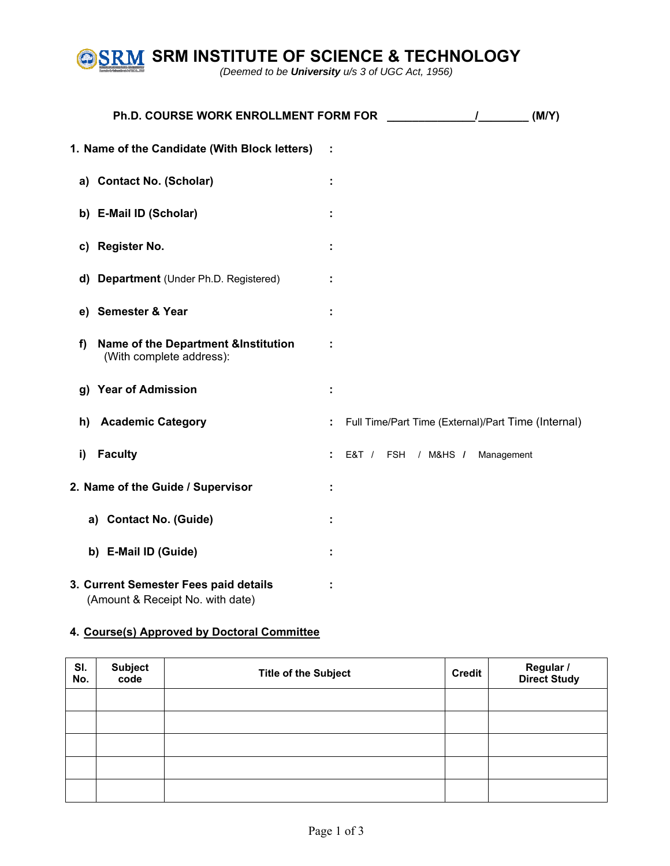

**SRM INSTITUTE OF SCIENCE & TECHNOLOGY** 

*(Deemed to be University u/s 3 of UGC Act, 1956)* 

|    | Ph.D. COURSE WORK ENROLLMENT FORM FOR                                      | (M/Y)<br>$\mathbf{I}$                               |
|----|----------------------------------------------------------------------------|-----------------------------------------------------|
|    | 1. Name of the Candidate (With Block letters)                              |                                                     |
|    | a) Contact No. (Scholar)                                                   |                                                     |
|    | b) E-Mail ID (Scholar)                                                     |                                                     |
|    | c) Register No.                                                            |                                                     |
|    | d) Department (Under Ph.D. Registered)                                     |                                                     |
|    | e) Semester & Year                                                         |                                                     |
| f) | <b>Name of the Department &amp;Institution</b><br>(With complete address): |                                                     |
|    | g) Year of Admission                                                       |                                                     |
| h) | <b>Academic Category</b>                                                   | Full Time/Part Time (External)/Part Time (Internal) |
| i) | <b>Faculty</b>                                                             | E&T / FSH / M&HS / Management                       |
|    | 2. Name of the Guide / Supervisor                                          |                                                     |
|    | a) Contact No. (Guide)                                                     |                                                     |
|    | b) E-Mail ID (Guide)                                                       |                                                     |
|    | 3. Current Semester Fees paid details<br>(Amount & Receipt No. with date)  |                                                     |

## **4. Course(s) Approved by Doctoral Committee**

| SI.<br>No. | <b>Subject</b><br>code | <b>Title of the Subject</b> | Credit | Regular /<br>Direct Study |
|------------|------------------------|-----------------------------|--------|---------------------------|
|            |                        |                             |        |                           |
|            |                        |                             |        |                           |
|            |                        |                             |        |                           |
|            |                        |                             |        |                           |
|            |                        |                             |        |                           |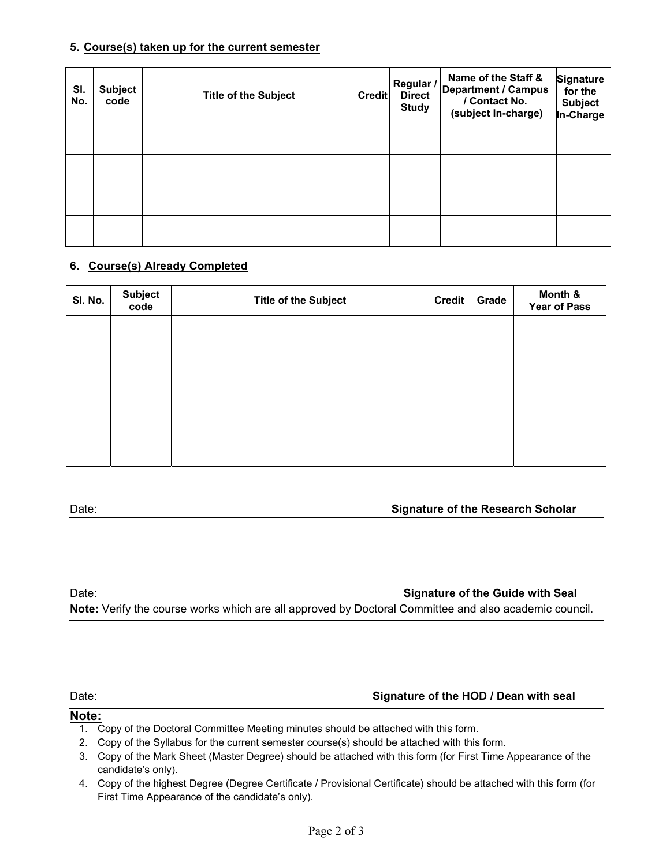#### **5. Course(s) taken up for the current semester**

| SI.<br>No. | <b>Subject</b><br>code | <b>Title of the Subject</b> | <b>Credit</b> | Regular /<br><b>Direct</b><br><b>Study</b> | Name of the Staff &<br><b>Department / Campus</b><br>/ Contact No.<br>(subject In-charge) | Signature<br>for the<br><b>Subject</b><br>In-Charge |
|------------|------------------------|-----------------------------|---------------|--------------------------------------------|-------------------------------------------------------------------------------------------|-----------------------------------------------------|
|            |                        |                             |               |                                            |                                                                                           |                                                     |
|            |                        |                             |               |                                            |                                                                                           |                                                     |
|            |                        |                             |               |                                            |                                                                                           |                                                     |
|            |                        |                             |               |                                            |                                                                                           |                                                     |

### **6. Course(s) Already Completed**

| SI. No. | <b>Subject</b><br>code | <b>Title of the Subject</b> | <b>Credit</b> | Grade | Month &<br><b>Year of Pass</b> |
|---------|------------------------|-----------------------------|---------------|-------|--------------------------------|
|         |                        |                             |               |       |                                |
|         |                        |                             |               |       |                                |
|         |                        |                             |               |       |                                |
|         |                        |                             |               |       |                                |
|         |                        |                             |               |       |                                |

### Date: **Signature of the Research Scholar**

### Date: **Signature of the Guide with Seal**

**Note:** Verify the course works which are all approved by Doctoral Committee and also academic council.

#### Date: **Signature of the HOD / Dean with seal**

#### **Note:**

- 1. Copy of the Doctoral Committee Meeting minutes should be attached with this form.
- 2. Copy of the Syllabus for the current semester course(s) should be attached with this form.
- 3. Copy of the Mark Sheet (Master Degree) should be attached with this form (for First Time Appearance of the candidate's only).
- 4. Copy of the highest Degree (Degree Certificate / Provisional Certificate) should be attached with this form (for First Time Appearance of the candidate's only).